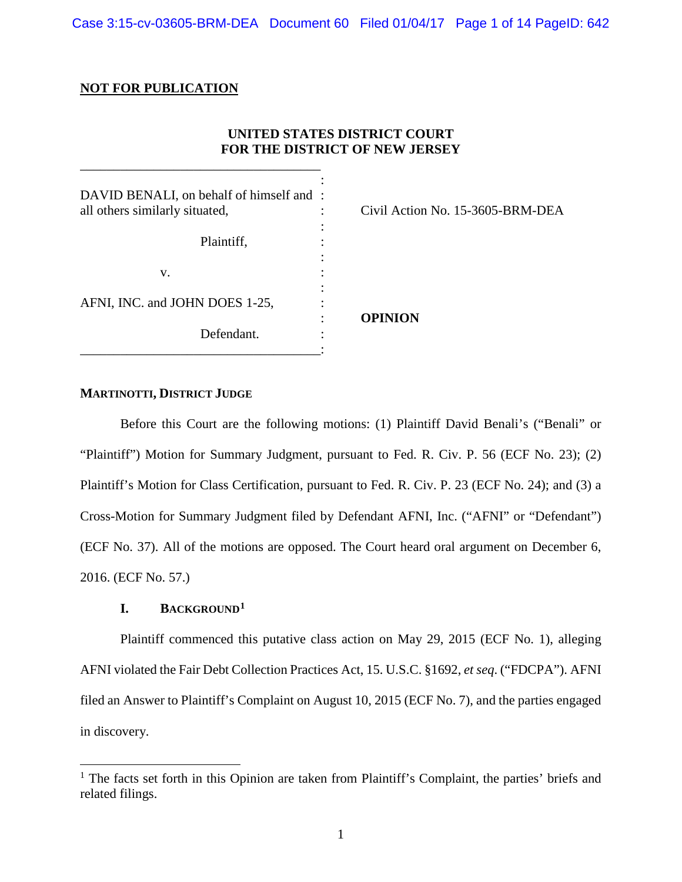Case 3:15-cv-03605-BRM-DEA Document 60 Filed 01/04/17 Page 1 of 14 PageID: 642

### **NOT FOR PUBLICATION**

\_\_\_\_\_\_\_\_\_\_\_\_\_\_\_\_\_\_\_\_\_\_\_\_\_\_\_\_\_\_\_\_\_\_\_\_

# **UNITED STATES DISTRICT COURT FOR THE DISTRICT OF NEW JERSEY**

| DAVID BENALI, on behalf of himself and :<br>all others similarly situated, | ٠ | Civil Action No. 15-3605-BRM-DEA |
|----------------------------------------------------------------------------|---|----------------------------------|
| Plaintiff,                                                                 |   |                                  |
|                                                                            |   |                                  |
| V.                                                                         |   |                                  |
| AFNI, INC. and JOHN DOES 1-25,                                             | ٠ | <b>OPINION</b>                   |
| Defendant.                                                                 |   |                                  |

**MARTINOTTI, DISTRICT JUDGE**

Before this Court are the following motions: (1) Plaintiff David Benali's ("Benali" or "Plaintiff") Motion for Summary Judgment, pursuant to Fed. R. Civ. P. 56 (ECF No. 23); (2) Plaintiff's Motion for Class Certification, pursuant to Fed. R. Civ. P. 23 (ECF No. 24); and (3) a Cross-Motion for Summary Judgment filed by Defendant AFNI, Inc. ("AFNI" or "Defendant") (ECF No. 37). All of the motions are opposed. The Court heard oral argument on December 6, 2016. (ECF No. 57.)

## **I. BACKGROUND[1](#page-0-0)**

Plaintiff commenced this putative class action on May 29, 2015 (ECF No. 1), alleging AFNI violated the Fair Debt Collection Practices Act, 15. U.S.C. §1692, *et seq*. ("FDCPA"). AFNI filed an Answer to Plaintiff's Complaint on August 10, 2015 (ECF No. 7), and the parties engaged in discovery.

<span id="page-0-0"></span><sup>&</sup>lt;sup>1</sup> The facts set forth in this Opinion are taken from Plaintiff's Complaint, the parties' briefs and related filings.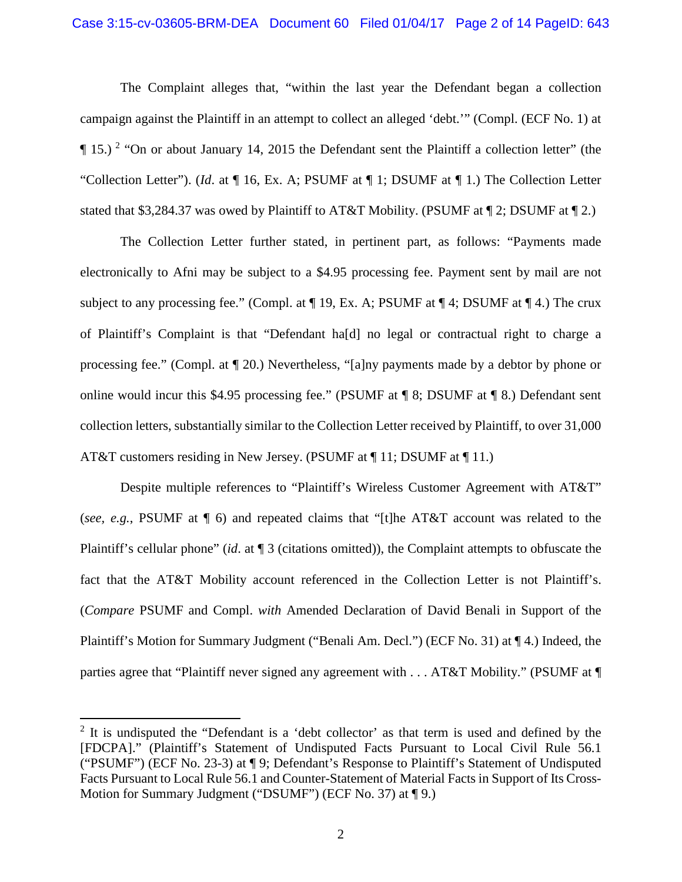### Case 3:15-cv-03605-BRM-DEA Document 60 Filed 01/04/17 Page 2 of 14 PageID: 643

The Complaint alleges that, "within the last year the Defendant began a collection campaign against the Plaintiff in an attempt to collect an alleged 'debt.'" (Compl. (ECF No. 1) at  $\P$  15.)<sup>[2](#page-1-0)</sup> "On or about January 14, 2015 the Defendant sent the Plaintiff a collection letter" (the "Collection Letter"). (*Id*. at ¶ 16, Ex. A; PSUMF at ¶ 1; DSUMF at ¶ 1.) The Collection Letter stated that \$3,284.37 was owed by Plaintiff to AT&T Mobility. (PSUMF at  $\P$  2; DSUMF at  $\P$  2.)

The Collection Letter further stated, in pertinent part, as follows: "Payments made electronically to Afni may be subject to a \$4.95 processing fee. Payment sent by mail are not subject to any processing fee." (Compl. at  $\P$  19, Ex. A; PSUMF at  $\P$  4; DSUMF at  $\P$  4.) The crux of Plaintiff's Complaint is that "Defendant ha[d] no legal or contractual right to charge a processing fee." (Compl. at ¶ 20.) Nevertheless, "[a]ny payments made by a debtor by phone or online would incur this \$4.95 processing fee." (PSUMF at ¶ 8; DSUMF at ¶ 8.) Defendant sent collection letters, substantially similar to the Collection Letter received by Plaintiff, to over 31,000 AT&T customers residing in New Jersey. (PSUMF at ¶ 11; DSUMF at ¶ 11.)

Despite multiple references to "Plaintiff's Wireless Customer Agreement with AT&T" (*see, e.g.*, PSUMF at ¶ 6) and repeated claims that "[t]he AT&T account was related to the Plaintiff's cellular phone" (*id*. at ¶ 3 (citations omitted)), the Complaint attempts to obfuscate the fact that the AT&T Mobility account referenced in the Collection Letter is not Plaintiff's. (*Compare* PSUMF and Compl. *with* Amended Declaration of David Benali in Support of the Plaintiff's Motion for Summary Judgment ("Benali Am. Decl.") (ECF No. 31) at ¶ 4.) Indeed, the parties agree that "Plaintiff never signed any agreement with . . . AT&T Mobility." (PSUMF at ¶

<span id="page-1-0"></span> $2$  It is undisputed the "Defendant is a 'debt collector' as that term is used and defined by the [FDCPA]." (Plaintiff's Statement of Undisputed Facts Pursuant to Local Civil Rule 56.1 ("PSUMF") (ECF No. 23-3) at ¶ 9; Defendant's Response to Plaintiff's Statement of Undisputed Facts Pursuant to Local Rule 56.1 and Counter-Statement of Material Facts in Support of Its Cross-Motion for Summary Judgment ("DSUMF") (ECF No. 37) at ¶ 9.)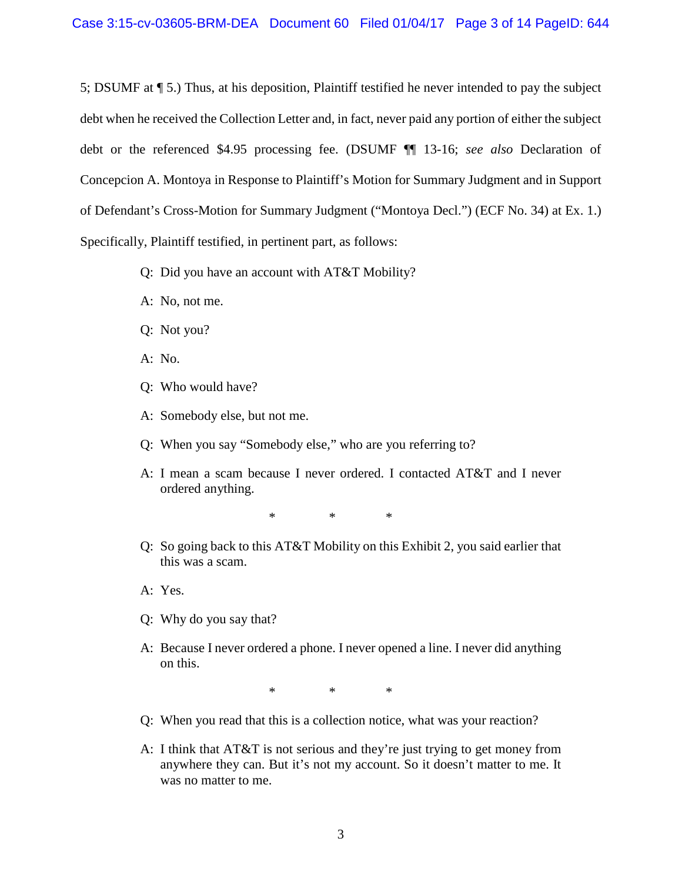5; DSUMF at ¶ 5.) Thus, at his deposition, Plaintiff testified he never intended to pay the subject debt when he received the Collection Letter and, in fact, never paid any portion of either the subject debt or the referenced \$4.95 processing fee. (DSUMF ¶¶ 13-16; *see also* Declaration of Concepcion A. Montoya in Response to Plaintiff's Motion for Summary Judgment and in Support of Defendant's Cross-Motion for Summary Judgment ("Montoya Decl.") (ECF No. 34) at Ex. 1.) Specifically, Plaintiff testified, in pertinent part, as follows:

- Q: Did you have an account with AT&T Mobility?
- A: No, not me.
- Q: Not you?
- A: No.
- Q: Who would have?
- A: Somebody else, but not me.
- Q: When you say "Somebody else," who are you referring to?
- A: I mean a scam because I never ordered. I contacted AT&T and I never ordered anything.

\* \* \*

- Q: So going back to this AT&T Mobility on this Exhibit 2, you said earlier that this was a scam.
- A: Yes.
- Q: Why do you say that?
- A: Because I never ordered a phone. I never opened a line. I never did anything on this.

\* \* \*

- Q: When you read that this is a collection notice, what was your reaction?
- A: I think that AT&T is not serious and they're just trying to get money from anywhere they can. But it's not my account. So it doesn't matter to me. It was no matter to me.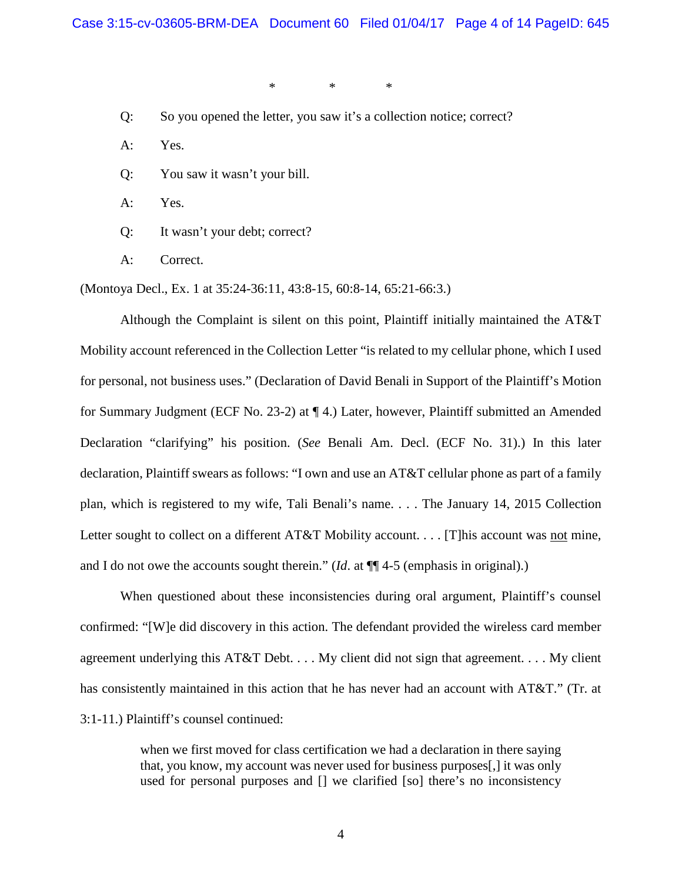\* \* \*

- Q: So you opened the letter, you saw it's a collection notice; correct?
- A: Yes.
- Q: You saw it wasn't your bill.
- A: Yes.
- Q: It wasn't your debt; correct?
- A: Correct.

(Montoya Decl., Ex. 1 at 35:24-36:11, 43:8-15, 60:8-14, 65:21-66:3.)

Although the Complaint is silent on this point, Plaintiff initially maintained the AT&T Mobility account referenced in the Collection Letter "is related to my cellular phone, which I used for personal, not business uses." (Declaration of David Benali in Support of the Plaintiff's Motion for Summary Judgment (ECF No. 23-2) at ¶ 4.) Later, however, Plaintiff submitted an Amended Declaration "clarifying" his position. (*See* Benali Am. Decl. (ECF No. 31).) In this later declaration, Plaintiff swears as follows: "I own and use an AT&T cellular phone as part of a family plan, which is registered to my wife, Tali Benali's name. . . . The January 14, 2015 Collection Letter sought to collect on a different AT&T Mobility account. . . . [T]his account was not mine, and I do not owe the accounts sought therein." (*Id*. at ¶¶ 4-5 (emphasis in original).)

When questioned about these inconsistencies during oral argument, Plaintiff's counsel confirmed: "[W]e did discovery in this action. The defendant provided the wireless card member agreement underlying this AT&T Debt. . . . My client did not sign that agreement. . . . My client has consistently maintained in this action that he has never had an account with AT&T." (Tr. at 3:1-11.) Plaintiff's counsel continued:

> when we first moved for class certification we had a declaration in there saying that, you know, my account was never used for business purposes[,] it was only used for personal purposes and [] we clarified [so] there's no inconsistency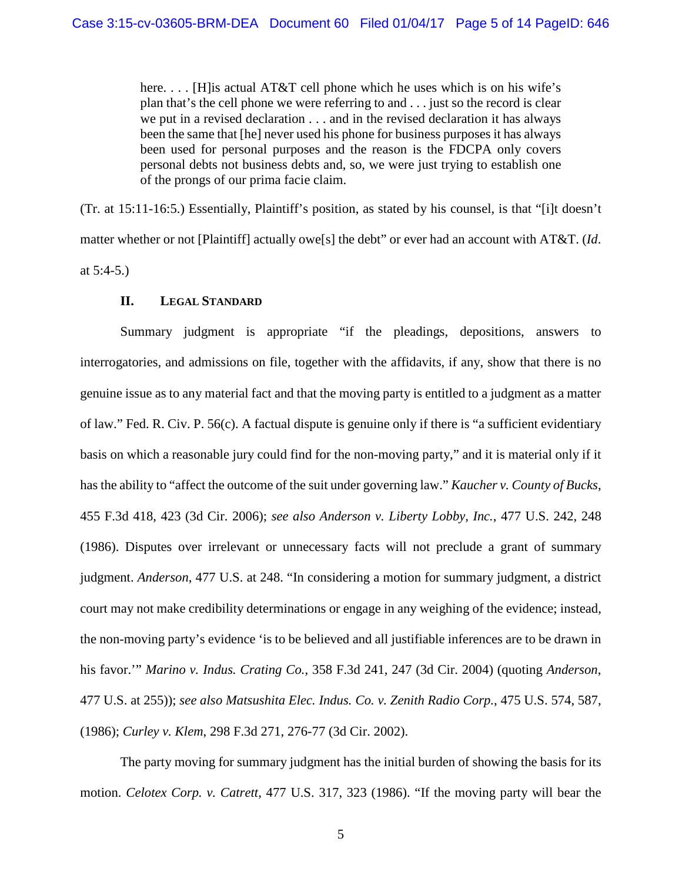here. . . . [H]is actual AT&T cell phone which he uses which is on his wife's plan that's the cell phone we were referring to and . . . just so the record is clear we put in a revised declaration . . . and in the revised declaration it has always been the same that [he] never used his phone for business purposes it has always been used for personal purposes and the reason is the FDCPA only covers personal debts not business debts and, so, we were just trying to establish one of the prongs of our prima facie claim.

(Tr. at 15:11-16:5.) Essentially, Plaintiff's position, as stated by his counsel, is that "[i]t doesn't matter whether or not [Plaintiff] actually owe[s] the debt" or ever had an account with AT&T. (*Id*. at 5:4-5.)

## **II. LEGAL STANDARD**

Summary judgment is appropriate "if the pleadings, depositions, answers to interrogatories, and admissions on file, together with the affidavits, if any, show that there is no genuine issue as to any material fact and that the moving party is entitled to a judgment as a matter of law." Fed. R. Civ. P. 56(c). A factual dispute is genuine only if there is "a sufficient evidentiary basis on which a reasonable jury could find for the non-moving party," and it is material only if it has the ability to "affect the outcome of the suit under governing law." *Kaucher v. County of Bucks*, 455 F.3d 418, 423 (3d Cir. 2006); *see also Anderson v. Liberty Lobby, Inc.*, 477 U.S. 242, 248 (1986). Disputes over irrelevant or unnecessary facts will not preclude a grant of summary judgment. *Anderson*, 477 U.S. at 248. "In considering a motion for summary judgment, a district court may not make credibility determinations or engage in any weighing of the evidence; instead, the non-moving party's evidence 'is to be believed and all justifiable inferences are to be drawn in his favor.'" *Marino v. Indus. Crating Co.*, 358 F.3d 241, 247 (3d Cir. 2004) (quoting *Anderson*, 477 U.S. at 255)); *see also Matsushita Elec. Indus. Co. v. Zenith Radio Corp.*, 475 U.S. 574, 587, (1986); *Curley v. Klem*, 298 F.3d 271, 276-77 (3d Cir. 2002).

The party moving for summary judgment has the initial burden of showing the basis for its motion. *Celotex Corp. v. Catrett*, 477 U.S. 317, 323 (1986). "If the moving party will bear the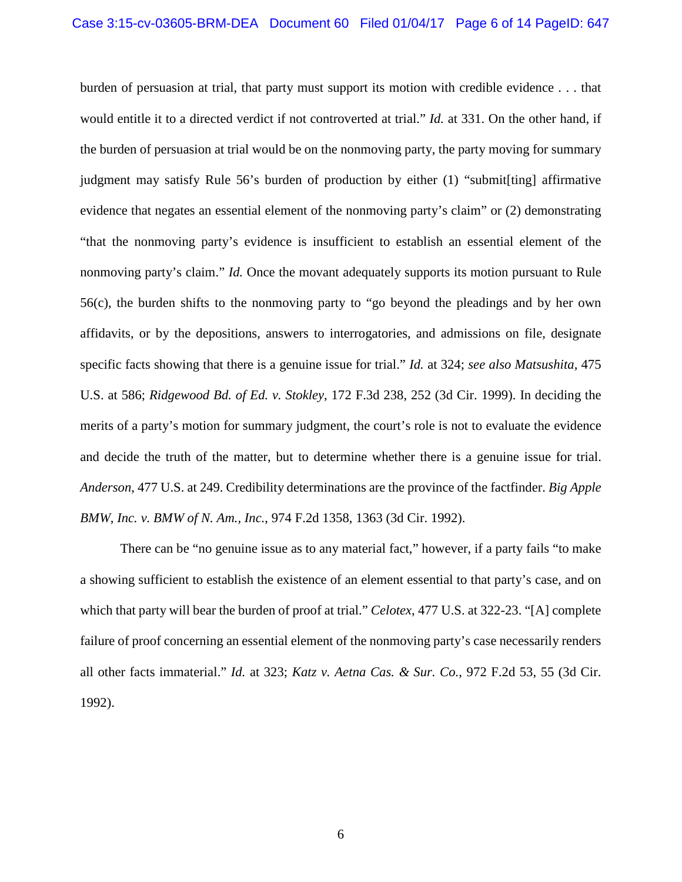burden of persuasion at trial, that party must support its motion with credible evidence . . . that would entitle it to a directed verdict if not controverted at trial." *Id.* at 331. On the other hand, if the burden of persuasion at trial would be on the nonmoving party, the party moving for summary judgment may satisfy Rule 56's burden of production by either (1) "submit[ting] affirmative evidence that negates an essential element of the nonmoving party's claim" or (2) demonstrating "that the nonmoving party's evidence is insufficient to establish an essential element of the nonmoving party's claim." *Id.* Once the movant adequately supports its motion pursuant to Rule 56(c), the burden shifts to the nonmoving party to "go beyond the pleadings and by her own affidavits, or by the depositions, answers to interrogatories, and admissions on file, designate specific facts showing that there is a genuine issue for trial." *Id.* at 324; *see also Matsushita*, 475 U.S. at 586; *Ridgewood Bd. of Ed. v. Stokley*, 172 F.3d 238, 252 (3d Cir. 1999). In deciding the merits of a party's motion for summary judgment, the court's role is not to evaluate the evidence and decide the truth of the matter, but to determine whether there is a genuine issue for trial. *Anderson*, 477 U.S. at 249. Credibility determinations are the province of the factfinder. *Big Apple BMW, Inc. v. BMW of N. Am., Inc.*, 974 F.2d 1358, 1363 (3d Cir. 1992).

There can be "no genuine issue as to any material fact," however, if a party fails "to make a showing sufficient to establish the existence of an element essential to that party's case, and on which that party will bear the burden of proof at trial." *Celotex*, 477 U.S. at 322-23. "[A] complete failure of proof concerning an essential element of the nonmoving party's case necessarily renders all other facts immaterial." *Id.* at 323; *Katz v. Aetna Cas. & Sur. Co.*, 972 F.2d 53, 55 (3d Cir. 1992).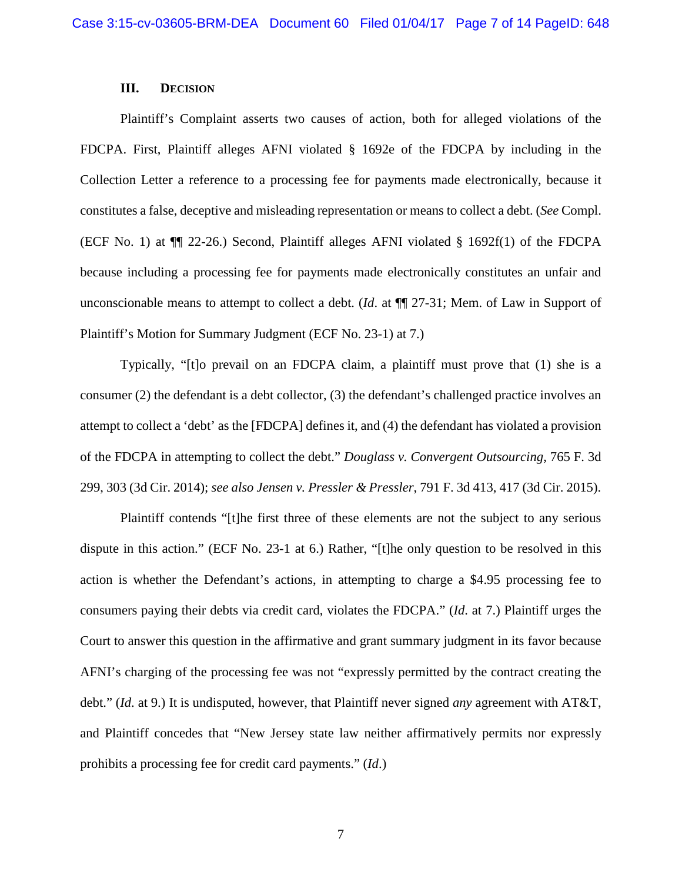### **III. DECISION**

Plaintiff's Complaint asserts two causes of action, both for alleged violations of the FDCPA. First, Plaintiff alleges AFNI violated § 1692e of the FDCPA by including in the Collection Letter a reference to a processing fee for payments made electronically, because it constitutes a false, deceptive and misleading representation or means to collect a debt. (*See* Compl. (ECF No. 1) at ¶¶ 22-26.) Second, Plaintiff alleges AFNI violated § 1692f(1) of the FDCPA because including a processing fee for payments made electronically constitutes an unfair and unconscionable means to attempt to collect a debt. (*Id*. at ¶¶ 27-31; Mem. of Law in Support of Plaintiff's Motion for Summary Judgment (ECF No. 23-1) at 7.)

Typically, "[t]o prevail on an FDCPA claim, a plaintiff must prove that (1) she is a consumer (2) the defendant is a debt collector, (3) the defendant's challenged practice involves an attempt to collect a 'debt' as the [FDCPA] defines it, and (4) the defendant has violated a provision of the FDCPA in attempting to collect the debt." *Douglass v. Convergent Outsourcing*, 765 F. 3d 299, 303 (3d Cir. 2014); *see also Jensen v. Pressler & Pressler*, 791 F. 3d 413, 417 (3d Cir. 2015).

Plaintiff contends "[t]he first three of these elements are not the subject to any serious dispute in this action." (ECF No. 23-1 at 6.) Rather, "[t]he only question to be resolved in this action is whether the Defendant's actions, in attempting to charge a \$4.95 processing fee to consumers paying their debts via credit card, violates the FDCPA." (*Id*. at 7.) Plaintiff urges the Court to answer this question in the affirmative and grant summary judgment in its favor because AFNI's charging of the processing fee was not "expressly permitted by the contract creating the debt." (*Id*. at 9.) It is undisputed, however, that Plaintiff never signed *any* agreement with AT&T, and Plaintiff concedes that "New Jersey state law neither affirmatively permits nor expressly prohibits a processing fee for credit card payments." (*Id*.)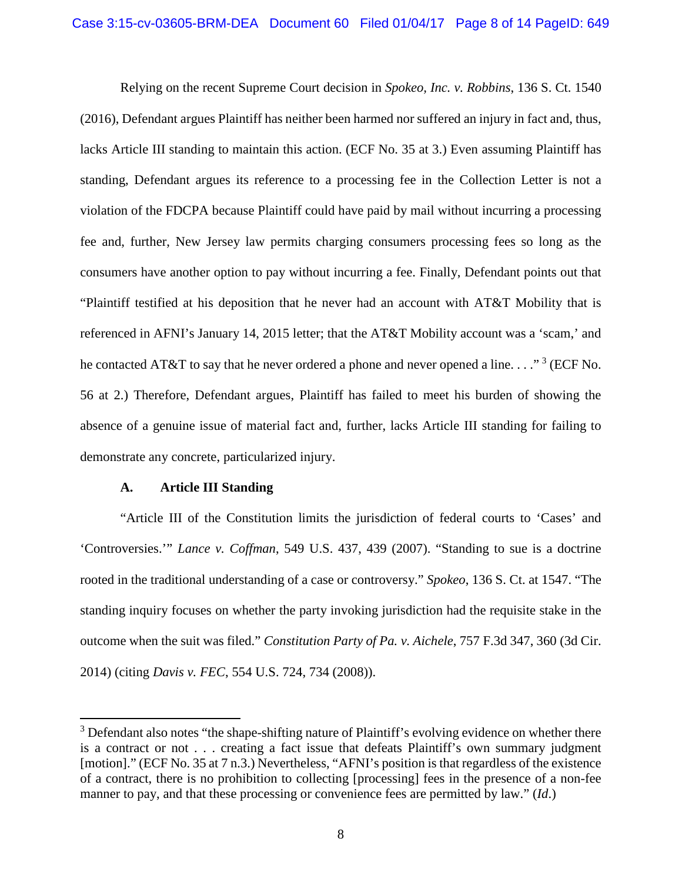Relying on the recent Supreme Court decision in *Spokeo, Inc. v. Robbins*, 136 S. Ct. 1540 (2016), Defendant argues Plaintiff has neither been harmed nor suffered an injury in fact and, thus, lacks Article III standing to maintain this action. (ECF No. 35 at 3.) Even assuming Plaintiff has standing, Defendant argues its reference to a processing fee in the Collection Letter is not a violation of the FDCPA because Plaintiff could have paid by mail without incurring a processing fee and, further, New Jersey law permits charging consumers processing fees so long as the consumers have another option to pay without incurring a fee. Finally, Defendant points out that "Plaintiff testified at his deposition that he never had an account with AT&T Mobility that is referenced in AFNI's January 14, 2015 letter; that the AT&T Mobility account was a 'scam,' and he contacted AT&T to say that he never ordered a phone and never opened a line...."<sup>[3](#page-7-0)</sup> (ECF No. 56 at 2.) Therefore, Defendant argues, Plaintiff has failed to meet his burden of showing the absence of a genuine issue of material fact and, further, lacks Article III standing for failing to demonstrate any concrete, particularized injury.

### **A. Article III Standing**

"Article III of the Constitution limits the jurisdiction of federal courts to 'Cases' and 'Controversies.'" *Lance v. Coffman*, 549 U.S. 437, 439 (2007). "Standing to sue is a doctrine rooted in the traditional understanding of a case or controversy." *Spokeo*, 136 S. Ct. at 1547. "The standing inquiry focuses on whether the party invoking jurisdiction had the requisite stake in the outcome when the suit was filed." *Constitution Party of Pa. v. Aichele*, 757 F.3d 347, 360 (3d Cir. 2014) (citing *Davis v. FEC*, 554 U.S. 724, 734 (2008)).

<span id="page-7-0"></span><sup>&</sup>lt;sup>3</sup> Defendant also notes "the shape-shifting nature of Plaintiff's evolving evidence on whether there is a contract or not . . . creating a fact issue that defeats Plaintiff's own summary judgment [motion]." (ECF No. 35 at 7 n.3.) Nevertheless, "AFNI's position is that regardless of the existence of a contract, there is no prohibition to collecting [processing] fees in the presence of a non-fee manner to pay, and that these processing or convenience fees are permitted by law." (*Id*.)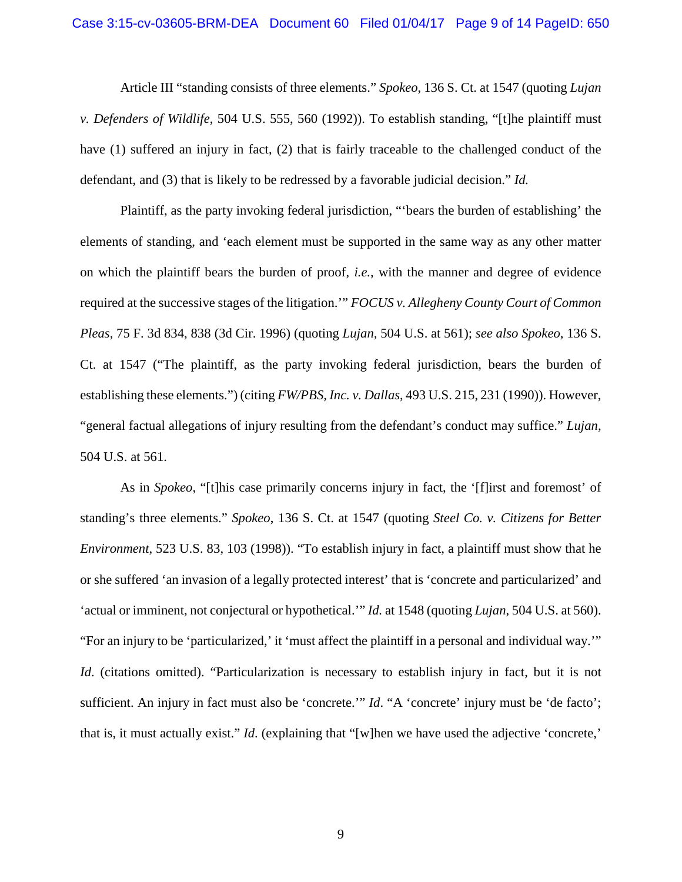Article III "standing consists of three elements." *Spokeo*, 136 S. Ct. at 1547 (quoting *Lujan v. Defenders of Wildlife*, 504 U.S. 555, 560 (1992)). To establish standing, "[t]he plaintiff must have (1) suffered an injury in fact, (2) that is fairly traceable to the challenged conduct of the defendant, and (3) that is likely to be redressed by a favorable judicial decision." *Id.*

Plaintiff, as the party invoking federal jurisdiction, "'bears the burden of establishing' the elements of standing, and 'each element must be supported in the same way as any other matter on which the plaintiff bears the burden of proof, *i.e.*, with the manner and degree of evidence required at the successive stages of the litigation.'" *FOCUS v. Allegheny County Court of Common Pleas,* 75 F. 3d 834, 838 (3d Cir. 1996) (quoting *Lujan,* 504 U.S. at 561); *see also Spokeo*, 136 S. Ct. at 1547 ("The plaintiff, as the party invoking federal jurisdiction, bears the burden of establishing these elements.") (citing *FW/PBS, Inc. v. Dallas*, 493 U.S. 215, 231 (1990)). However, "general factual allegations of injury resulting from the defendant's conduct may suffice." *Lujan,* 504 U.S. at 561.

As in *Spokeo*, "[t]his case primarily concerns injury in fact, the '[f]irst and foremost' of standing's three elements." *Spokeo*, 136 S. Ct. at 1547 (quoting *Steel Co. v. Citizens for Better Environment*, 523 U.S. 83, 103 (1998)). "To establish injury in fact, a plaintiff must show that he or she suffered 'an invasion of a legally protected interest' that is 'concrete and particularized' and 'actual or imminent, not conjectural or hypothetical.'" *Id.* at 1548 (quoting *Lujan*, 504 U.S. at 560). "For an injury to be 'particularized,' it 'must affect the plaintiff in a personal and individual way.'" *Id.* (citations omitted). "Particularization is necessary to establish injury in fact, but it is not sufficient. An injury in fact must also be 'concrete.'" *Id.* "A 'concrete' injury must be 'de facto'; that is, it must actually exist." *Id*. (explaining that "[w]hen we have used the adjective 'concrete,'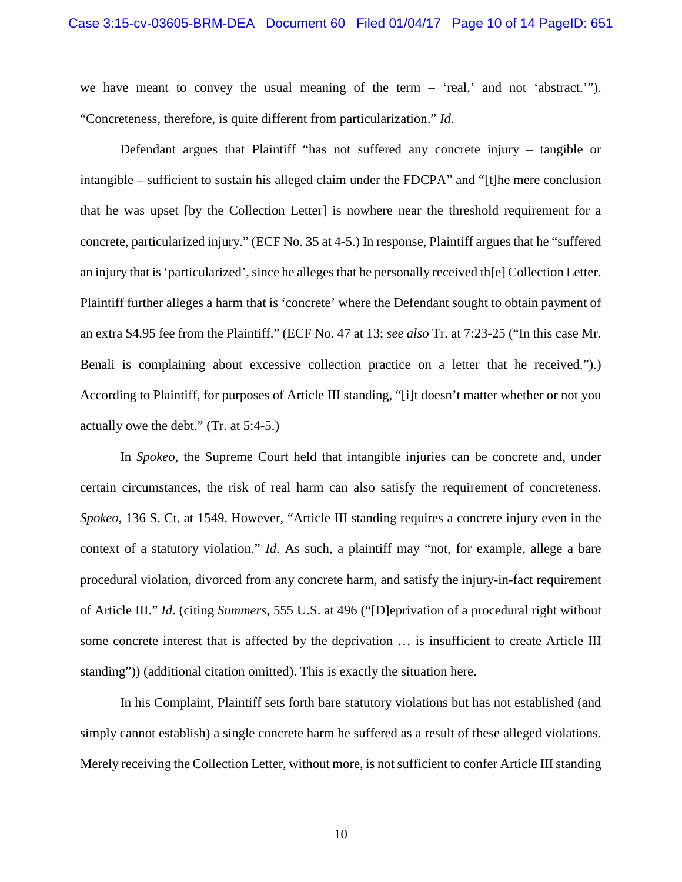we have meant to convey the usual meaning of the term – 'real,' and not 'abstract.'"). "Concreteness, therefore, is quite different from particularization." *Id*.

Defendant argues that Plaintiff "has not suffered any concrete injury – tangible or intangible – sufficient to sustain his alleged claim under the FDCPA" and "[t]he mere conclusion that he was upset [by the Collection Letter] is nowhere near the threshold requirement for a concrete, particularized injury." (ECF No. 35 at 4-5.) In response, Plaintiff argues that he "suffered an injury that is 'particularized', since he alleges that he personally received th[e] Collection Letter. Plaintiff further alleges a harm that is 'concrete' where the Defendant sought to obtain payment of an extra \$4.95 fee from the Plaintiff." (ECF No. 47 at 13; *see also* Tr. at 7:23-25 ("In this case Mr. Benali is complaining about excessive collection practice on a letter that he received.").) According to Plaintiff, for purposes of Article III standing, "[i]t doesn't matter whether or not you actually owe the debt." (Tr. at 5:4-5.)

In *Spokeo*, the Supreme Court held that intangible injuries can be concrete and, under certain circumstances, the risk of real harm can also satisfy the requirement of concreteness. *Spokeo*, 136 S. Ct. at 1549. However, "Article III standing requires a concrete injury even in the context of a statutory violation." *Id*. As such, a plaintiff may "not, for example, allege a bare procedural violation, divorced from any concrete harm, and satisfy the injury-in-fact requirement of Article III." *Id*. (citing *Summers*, 555 U.S. at 496 ("[D]eprivation of a procedural right without some concrete interest that is affected by the deprivation … is insufficient to create Article III standing")) (additional citation omitted). This is exactly the situation here.

In his Complaint, Plaintiff sets forth bare statutory violations but has not established (and simply cannot establish) a single concrete harm he suffered as a result of these alleged violations. Merely receiving the Collection Letter, without more, is not sufficient to confer Article III standing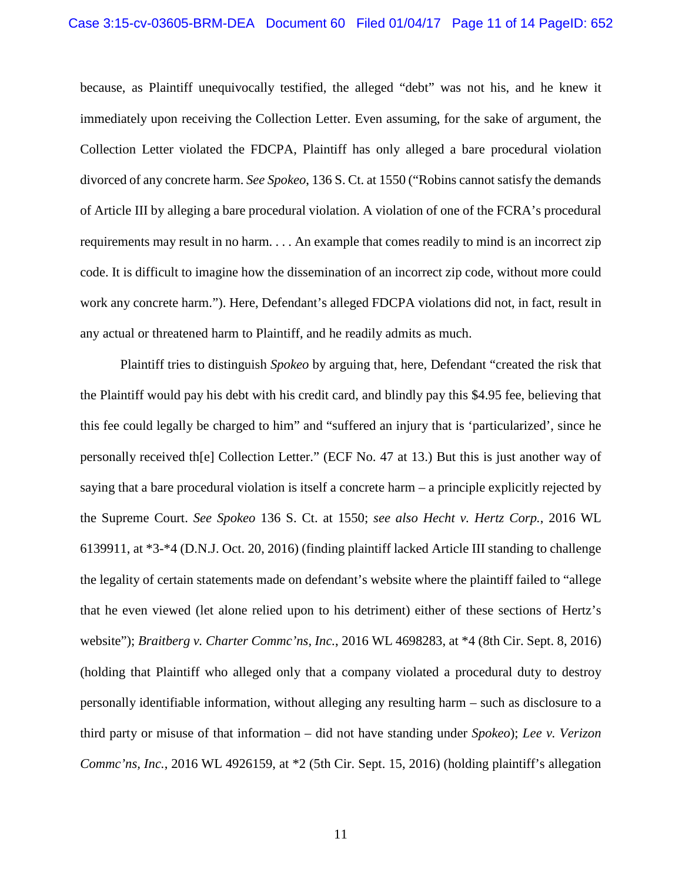#### Case 3:15-cv-03605-BRM-DEA Document 60 Filed 01/04/17 Page 11 of 14 PageID: 652

because, as Plaintiff unequivocally testified, the alleged "debt" was not his, and he knew it immediately upon receiving the Collection Letter. Even assuming, for the sake of argument, the Collection Letter violated the FDCPA, Plaintiff has only alleged a bare procedural violation divorced of any concrete harm. *See Spokeo*, 136 S. Ct. at 1550 ("Robins cannot satisfy the demands of Article III by alleging a bare procedural violation. A violation of one of the FCRA's procedural requirements may result in no harm. . . . An example that comes readily to mind is an incorrect zip code. It is difficult to imagine how the dissemination of an incorrect zip code, without more could work any concrete harm."). Here, Defendant's alleged FDCPA violations did not, in fact, result in any actual or threatened harm to Plaintiff, and he readily admits as much.

Plaintiff tries to distinguish *Spokeo* by arguing that, here, Defendant "created the risk that the Plaintiff would pay his debt with his credit card, and blindly pay this \$4.95 fee, believing that this fee could legally be charged to him" and "suffered an injury that is 'particularized', since he personally received th[e] Collection Letter." (ECF No. 47 at 13.) But this is just another way of saying that a bare procedural violation is itself a concrete harm – a principle explicitly rejected by the Supreme Court. *See Spokeo* 136 S. Ct. at 1550; *see also Hecht v. Hertz Corp.*, 2016 WL 6139911, at \*3-\*4 (D.N.J. Oct. 20, 2016) (finding plaintiff lacked Article III standing to challenge the legality of certain statements made on defendant's website where the plaintiff failed to "allege that he even viewed (let alone relied upon to his detriment) either of these sections of Hertz's website"); *Braitberg v. Charter Commc'ns, Inc.*, 2016 WL 4698283, at \*4 (8th Cir. Sept. 8, 2016) (holding that Plaintiff who alleged only that a company violated a procedural duty to destroy personally identifiable information, without alleging any resulting harm – such as disclosure to a third party or misuse of that information – did not have standing under *Spokeo*); *Lee v. Verizon Commc'ns, Inc.*, 2016 WL 4926159, at \*2 (5th Cir. Sept. 15, 2016) (holding plaintiff's allegation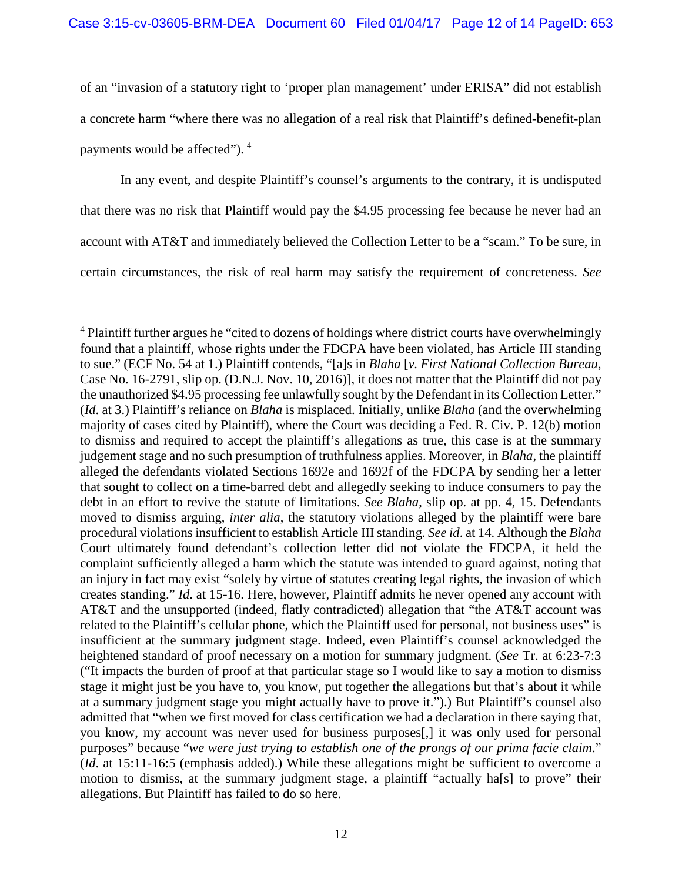of an "invasion of a statutory right to 'proper plan management' under ERISA" did not establish a concrete harm "where there was no allegation of a real risk that Plaintiff's defined-benefit-plan payments would be affected"). [4](#page-11-0)

In any event, and despite Plaintiff's counsel's arguments to the contrary, it is undisputed that there was no risk that Plaintiff would pay the \$4.95 processing fee because he never had an account with AT&T and immediately believed the Collection Letter to be a "scam." To be sure, in certain circumstances, the risk of real harm may satisfy the requirement of concreteness. *See*

<span id="page-11-0"></span><sup>&</sup>lt;sup>4</sup> Plaintiff further argues he "cited to dozens of holdings where district courts have overwhelmingly found that a plaintiff, whose rights under the FDCPA have been violated, has Article III standing to sue." (ECF No. 54 at 1.) Plaintiff contends, "[a]s in *Blaha* [*v. First National Collection Bureau*, Case No. 16-2791, slip op. (D.N.J. Nov. 10, 2016)], it does not matter that the Plaintiff did not pay the unauthorized \$4.95 processing fee unlawfully sought by the Defendant in its Collection Letter." (*Id*. at 3.) Plaintiff's reliance on *Blaha* is misplaced. Initially, unlike *Blaha* (and the overwhelming majority of cases cited by Plaintiff), where the Court was deciding a Fed. R. Civ. P. 12(b) motion to dismiss and required to accept the plaintiff's allegations as true, this case is at the summary judgement stage and no such presumption of truthfulness applies. Moreover, in *Blaha*, the plaintiff alleged the defendants violated Sections 1692e and 1692f of the FDCPA by sending her a letter that sought to collect on a time-barred debt and allegedly seeking to induce consumers to pay the debt in an effort to revive the statute of limitations. *See Blaha*, slip op. at pp. 4, 15. Defendants moved to dismiss arguing, *inter alia*, the statutory violations alleged by the plaintiff were bare procedural violations insufficient to establish Article III standing. *See id.* at 14. Although the *Blaha* Court ultimately found defendant's collection letter did not violate the FDCPA, it held the complaint sufficiently alleged a harm which the statute was intended to guard against, noting that an injury in fact may exist "solely by virtue of statutes creating legal rights, the invasion of which creates standing." *Id*. at 15-16. Here, however, Plaintiff admits he never opened any account with AT&T and the unsupported (indeed, flatly contradicted) allegation that "the AT&T account was related to the Plaintiff's cellular phone, which the Plaintiff used for personal, not business uses" is insufficient at the summary judgment stage. Indeed, even Plaintiff's counsel acknowledged the heightened standard of proof necessary on a motion for summary judgment. (*See* Tr. at 6:23-7:3 ("It impacts the burden of proof at that particular stage so I would like to say a motion to dismiss stage it might just be you have to, you know, put together the allegations but that's about it while at a summary judgment stage you might actually have to prove it.").) But Plaintiff's counsel also admitted that "when we first moved for class certification we had a declaration in there saying that, you know, my account was never used for business purposes[,] it was only used for personal purposes" because "*we were just trying to establish one of the prongs of our prima facie claim*." (*Id*. at 15:11-16:5 (emphasis added).) While these allegations might be sufficient to overcome a motion to dismiss, at the summary judgment stage, a plaintiff "actually ha[s] to prove" their allegations. But Plaintiff has failed to do so here.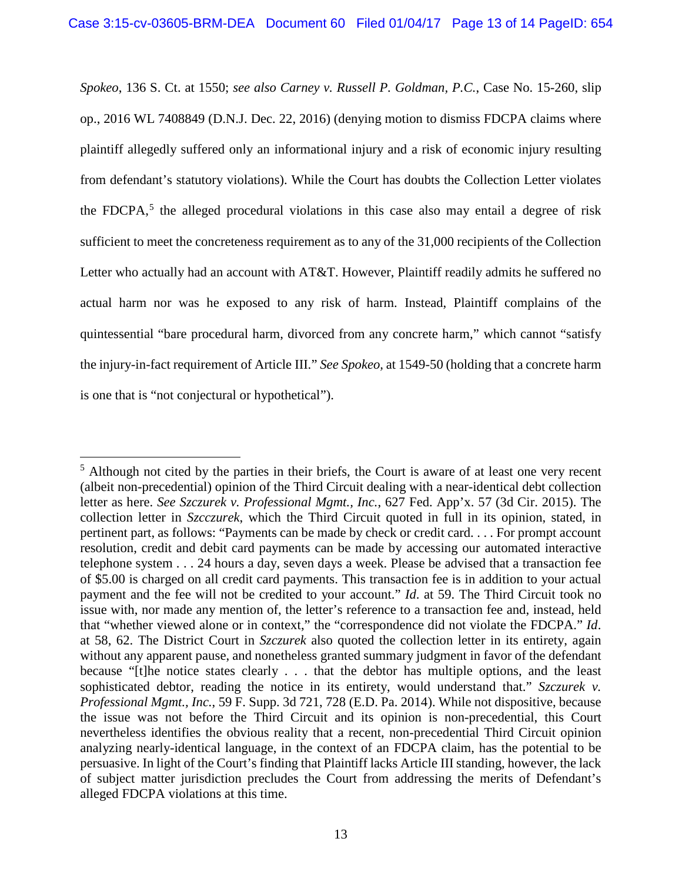*Spokeo*, 136 S. Ct. at 1550; *see also Carney v. Russell P. Goldman, P.C.*, Case No. 15-260, slip op., 2016 WL 7408849 (D.N.J. Dec. 22, 2016) (denying motion to dismiss FDCPA claims where plaintiff allegedly suffered only an informational injury and a risk of economic injury resulting from defendant's statutory violations). While the Court has doubts the Collection Letter violates the FDCPA,<sup>[5](#page-12-0)</sup> the alleged procedural violations in this case also may entail a degree of risk sufficient to meet the concreteness requirement as to any of the 31,000 recipients of the Collection Letter who actually had an account with AT&T. However, Plaintiff readily admits he suffered no actual harm nor was he exposed to any risk of harm. Instead, Plaintiff complains of the quintessential "bare procedural harm, divorced from any concrete harm," which cannot "satisfy the injury-in-fact requirement of Article III." *See Spokeo,* at 1549-50 (holding that a concrete harm is one that is "not conjectural or hypothetical").

<span id="page-12-0"></span> $<sup>5</sup>$  Although not cited by the parties in their briefs, the Court is aware of at least one very recent</sup> (albeit non-precedential) opinion of the Third Circuit dealing with a near-identical debt collection letter as here. *See Szczurek v. Professional Mgmt., Inc.*, 627 Fed. App'x. 57 (3d Cir. 2015). The collection letter in *Szcczurek*, which the Third Circuit quoted in full in its opinion, stated, in pertinent part, as follows: "Payments can be made by check or credit card. . . . For prompt account resolution, credit and debit card payments can be made by accessing our automated interactive telephone system . . . 24 hours a day, seven days a week. Please be advised that a transaction fee of \$5.00 is charged on all credit card payments. This transaction fee is in addition to your actual payment and the fee will not be credited to your account." *Id*. at 59. The Third Circuit took no issue with, nor made any mention of, the letter's reference to a transaction fee and, instead, held that "whether viewed alone or in context," the "correspondence did not violate the FDCPA." *Id*. at 58, 62. The District Court in *Szczurek* also quoted the collection letter in its entirety, again without any apparent pause, and nonetheless granted summary judgment in favor of the defendant because "[t]he notice states clearly . . . that the debtor has multiple options, and the least sophisticated debtor, reading the notice in its entirety, would understand that." *Szczurek v. Professional Mgmt., Inc.*, 59 F. Supp. 3d 721, 728 (E.D. Pa. 2014). While not dispositive, because the issue was not before the Third Circuit and its opinion is non-precedential, this Court nevertheless identifies the obvious reality that a recent, non-precedential Third Circuit opinion analyzing nearly-identical language, in the context of an FDCPA claim, has the potential to be persuasive. In light of the Court's finding that Plaintiff lacks Article III standing, however, the lack of subject matter jurisdiction precludes the Court from addressing the merits of Defendant's alleged FDCPA violations at this time.